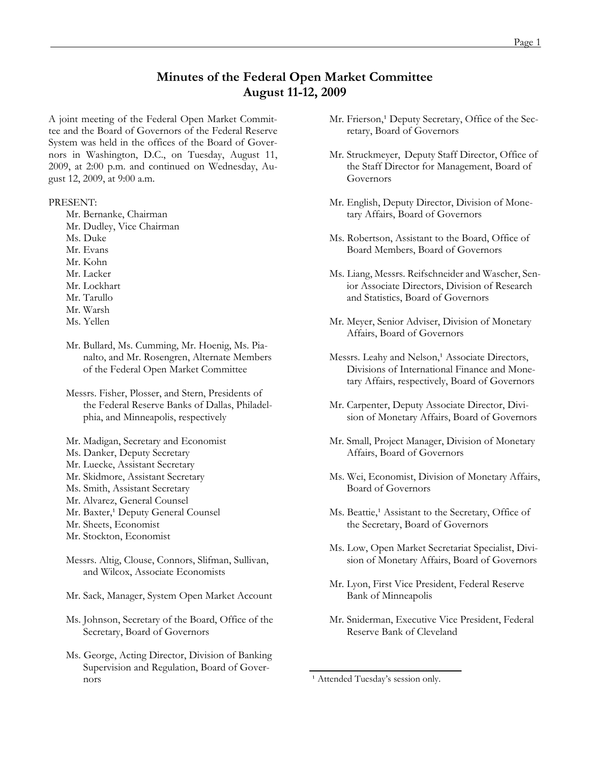# **Minutes of the Federal Open Market Committee August 11-12, 2009**

A joint meeting of the Federal Open Market Committee and the Board of Governors of the Federal Reserve System was held in the offices of the Board of Governors in Washington, D.C., on Tuesday, August 11, 2009, at 2:00 p.m. and continued on Wednesday, August 12, 2009, at 9:00 a.m.

#### PRESENT:

- Mr. Bernanke, Chairman
- Mr. Dudley, Vice Chairman
- Ms. Duke
- Mr. Evans
- Mr. Kohn
- Mr. Lacker
- Mr. Lockhart
- Mr. Tarullo
- Mr. Warsh
- Ms. Yellen
- Mr. Bullard, Ms. Cumming, Mr. Hoenig, Ms. Pianalto, and Mr. Rosengren, Alternate Members of the Federal Open Market Committee
- Messrs. Fisher, Plosser, and Stern, Presidents of the Federal Reserve Banks of Dallas, Philadelphia, and Minneapolis, respectively
- Mr. Madigan, Secretary and Economist
- Ms. Danker, Deputy Secretary
- Mr. Luecke, Assistant Secretary
- Mr. Skidmore, Assistant Secretary
- Ms. Smith, Assistant Secretary
- Mr. Alvarez, General Counsel
- Mr. Baxter,<sup>1</sup> Deputy General Counsel
- Mr. Sheets, Economist
- Mr. Stockton, Economist
- Messrs. Altig, Clouse, Connors, Slifman, Sullivan, and Wilcox, Associate Economists
- Mr. Sack, Manager, System Open Market Account
- Ms. Johnson, Secretary of the Board, Office of the Secretary, Board of Governors
- Ms. George, Acting Director, Division of Banking Supervision and Regulation, Board of Governors
- Mr. Frierson,<sup>1</sup> Deputy Secretary, Office of the Secretary, Board of Governors
- Mr. Struckmeyer, Deputy Staff Director, Office of the Staff Director for Management, Board of Governors
- Mr. English, Deputy Director, Division of Monetary Affairs, Board of Governors
- Ms. Robertson, Assistant to the Board, Office of Board Members, Board of Governors
- Ms. Liang, Messrs. Reifschneider and Wascher, Senior Associate Directors, Division of Research and Statistics, Board of Governors
- Mr. Meyer, Senior Adviser, Division of Monetary Affairs, Board of Governors
- Messrs. Leahy and Nelson,<sup>1</sup> Associate Directors, Divisions of International Finance and Monetary Affairs, respectively, Board of Governors
- Mr. Carpenter, Deputy Associate Director, Division of Monetary Affairs, Board of Governors
- Mr. Small, Project Manager, Division of Monetary Affairs, Board of Governors
- Ms. Wei, Economist, Division of Monetary Affairs, Board of Governors
- Ms. Beattie,<sup>1</sup> Assistant to the Secretary, Office of the Secretary, Board of Governors
- Ms. Low, Open Market Secretariat Specialist, Division of Monetary Affairs, Board of Governors
- Mr. Lyon, First Vice President, Federal Reserve Bank of Minneapolis
- Mr. Sniderman, Executive Vice President, Federal Reserve Bank of Cleveland

<sup>&</sup>lt;sup>1</sup> Attended Tuesday's session only.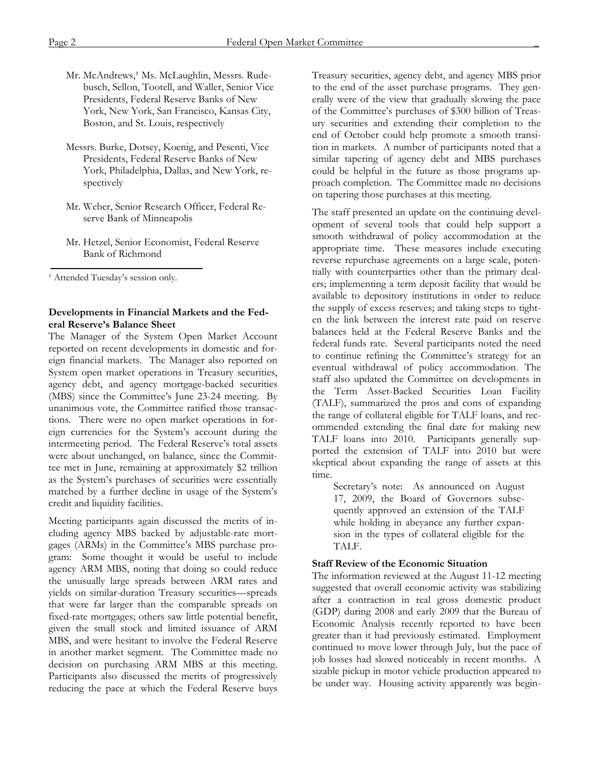- Mr. McAndrews,<sup>1</sup> Ms. McLaughlin, Messrs. Rudebusch, Sellon, Tootell, and Waller, Senior Vice Presidents, Federal Reserve Banks of New York, New York, San Francisco, Kansas City, Boston, and St. Louis, respectively
- Messrs. Burke, Dotsey, Koenig, and Pesenti, Vice Presidents, Federal Reserve Banks of New York, Philadelphia, Dallas, and New York, respectively
- Mr. Weber, Senior Research Officer, Federal Reserve Bank of Minneapolis
- Mr. Hetzel, Senior Economist, Federal Reserve Bank of Richmond

<sup>1</sup> Attended Tuesday's session only.

## **Developments in Financial Markets and the Federal Reserve's Balance Sheet**

The Manager of the System Open Market Account reported on recent developments in domestic and foreign financial markets. The Manager also reported on System open market operations in Treasury securities, agency debt, and agency mortgage-backed securities (MBS) since the Committee's June 23-24 meeting. By unanimous vote, the Committee ratified those transactions. There were no open market operations in foreign currencies for the System's account during the intermeeting period. The Federal Reserve's total assets were about unchanged, on balance, since the Committee met in June, remaining at approximately \$2 trillion as the System's purchases of securities were essentially matched by a further decline in usage of the System's credit and liquidity facilities.

Meeting participants again discussed the merits of including agency MBS backed by adjustable-rate mortgages (ARMs) in the Committee's MBS purchase program: Some thought it would be useful to include agency ARM MBS, noting that doing so could reduce the unusually large spreads between ARM rates and yields on similar-duration Treasury securities—spreads that were far larger than the comparable spreads on fixed-rate mortgages; others saw little potential benefit, given the small stock and limited issuance of ARM MBS, and were hesitant to involve the Federal Reserve in another market segment. The Committee made no decision on purchasing ARM MBS at this meeting. Participants also discussed the merits of progressively reducing the pace at which the Federal Reserve buys Treasury securities, agency debt, and agency MBS prior to the end of the asset purchase programs. They generally were of the view that gradually slowing the pace of the Committee's purchases of \$300 billion of Treasury securities and extending their completion to the end of October could help promote a smooth transition in markets. A number of participants noted that a similar tapering of agency debt and MBS purchases could be helpful in the future as those programs approach completion. The Committee made no decisions on tapering those purchases at this meeting.

The staff presented an update on the continuing development of several tools that could help support a smooth withdrawal of policy accommodation at the appropriate time. These measures include executing reverse repurchase agreements on a large scale, potentially with counterparties other than the primary dealers; implementing a term deposit facility that would be available to depository institutions in order to reduce the supply of excess reserves; and taking steps to tighten the link between the interest rate paid on reserve balances held at the Federal Reserve Banks and the federal funds rate. Several participants noted the need to continue refining the Committee's strategy for an eventual withdrawal of policy accommodation. The staff also updated the Committee on developments in the Term Asset-Backed Securities Loan Facility (TALF), summarized the pros and cons of expanding the range of collateral eligible for TALF loans, and recommended extending the final date for making new TALF loans into 2010. Participants generally supported the extension of TALF into 2010 but were skeptical about expanding the range of assets at this time.

Secretary's note: As announced on August 17, 2009, the Board of Governors subsequently approved an extension of the TALF while holding in abeyance any further expansion in the types of collateral eligible for the TALF.

## **Staff Review of the Economic Situation**

The information reviewed at the August 11-12 meeting suggested that overall economic activity was stabilizing after a contraction in real gross domestic product (GDP) during 2008 and early 2009 that the Bureau of Economic Analysis recently reported to have been greater than it had previously estimated. Employment continued to move lower through July, but the pace of job losses had slowed noticeably in recent months. A sizable pickup in motor vehicle production appeared to be under way. Housing activity apparently was begin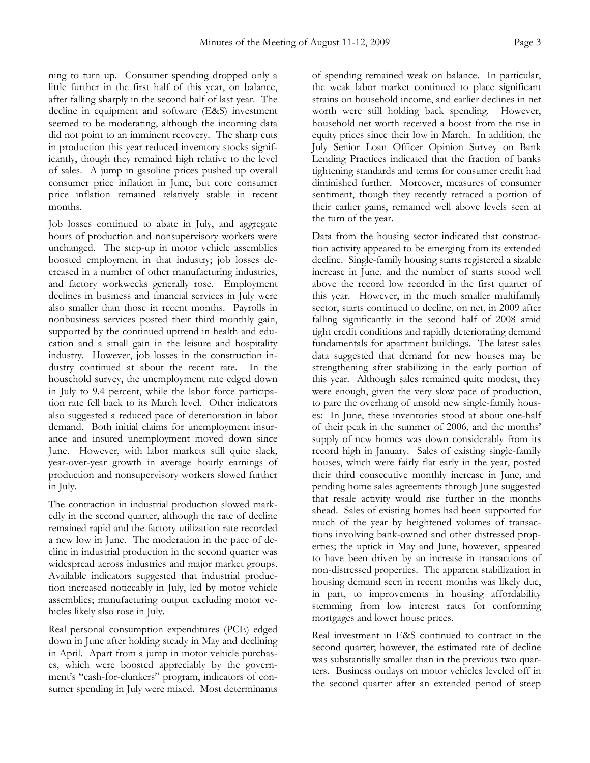ning to turn up. Consumer spending dropped only a little further in the first half of this year, on balance, after falling sharply in the second half of last year. The decline in equipment and software (E&S) investment seemed to be moderating, although the incoming data did not point to an imminent recovery. The sharp cuts in production this year reduced inventory stocks significantly, though they remained high relative to the level of sales. A jump in gasoline prices pushed up overall consumer price inflation in June, but core consumer price inflation remained relatively stable in recent months.

Job losses continued to abate in July, and aggregate hours of production and nonsupervisory workers were unchanged. The step-up in motor vehicle assemblies boosted employment in that industry; job losses decreased in a number of other manufacturing industries, and factory workweeks generally rose. Employment declines in business and financial services in July were also smaller than those in recent months. Payrolls in nonbusiness services posted their third monthly gain, supported by the continued uptrend in health and education and a small gain in the leisure and hospitality industry. However, job losses in the construction industry continued at about the recent rate. In the household survey, the unemployment rate edged down in July to 9.4 percent, while the labor force participation rate fell back to its March level. Other indicators also suggested a reduced pace of deterioration in labor demand. Both initial claims for unemployment insurance and insured unemployment moved down since June. However, with labor markets still quite slack, year-over-year growth in average hourly earnings of production and nonsupervisory workers slowed further in July.

The contraction in industrial production slowed markedly in the second quarter, although the rate of decline remained rapid and the factory utilization rate recorded a new low in June. The moderation in the pace of decline in industrial production in the second quarter was widespread across industries and major market groups. Available indicators suggested that industrial production increased noticeably in July, led by motor vehicle assemblies; manufacturing output excluding motor vehicles likely also rose in July.

Real personal consumption expenditures (PCE) edged down in June after holding steady in May and declining in April. Apart from a jump in motor vehicle purchases, which were boosted appreciably by the government's "cash-for-clunkers" program, indicators of consumer spending in July were mixed. Most determinants

of spending remained weak on balance. In particular, the weak labor market continued to place significant strains on household income, and earlier declines in net worth were still holding back spending. However, household net worth received a boost from the rise in equity prices since their low in March. In addition, the July Senior Loan Officer Opinion Survey on Bank Lending Practices indicated that the fraction of banks tightening standards and terms for consumer credit had diminished further. Moreover, measures of consumer sentiment, though they recently retraced a portion of their earlier gains, remained well above levels seen at the turn of the year.

Data from the housing sector indicated that construction activity appeared to be emerging from its extended decline. Single-family housing starts registered a sizable increase in June, and the number of starts stood well above the record low recorded in the first quarter of this year. However, in the much smaller multifamily sector, starts continued to decline, on net, in 2009 after falling significantly in the second half of 2008 amid tight credit conditions and rapidly deteriorating demand fundamentals for apartment buildings. The latest sales data suggested that demand for new houses may be strengthening after stabilizing in the early portion of this year. Although sales remained quite modest, they were enough, given the very slow pace of production, to pare the overhang of unsold new single-family houses: In June, these inventories stood at about one-half of their peak in the summer of 2006, and the months' supply of new homes was down considerably from its record high in January. Sales of existing single-family houses, which were fairly flat early in the year, posted their third consecutive monthly increase in June, and pending home sales agreements through June suggested that resale activity would rise further in the months ahead. Sales of existing homes had been supported for much of the year by heightened volumes of transactions involving bank-owned and other distressed properties; the uptick in May and June, however, appeared to have been driven by an increase in transactions of non-distressed properties. The apparent stabilization in housing demand seen in recent months was likely due, in part, to improvements in housing affordability stemming from low interest rates for conforming mortgages and lower house prices.

Real investment in E&S continued to contract in the second quarter; however, the estimated rate of decline was substantially smaller than in the previous two quarters. Business outlays on motor vehicles leveled off in the second quarter after an extended period of steep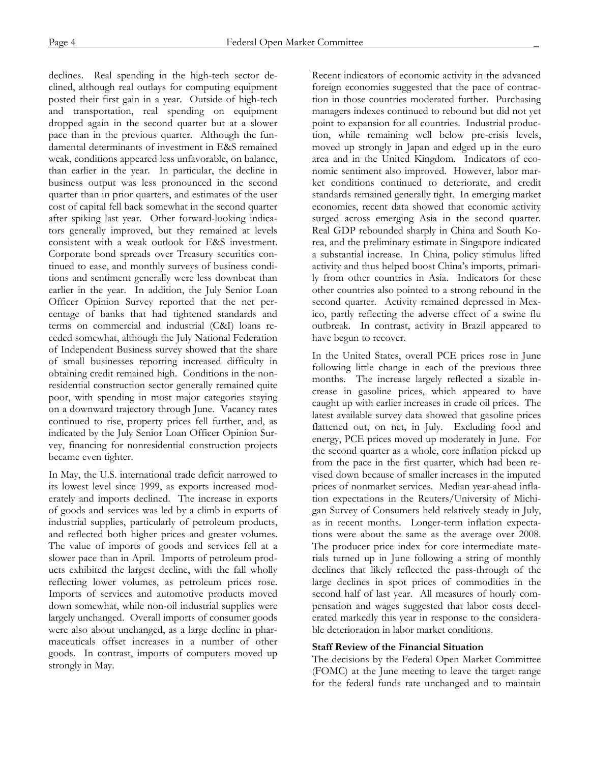declines. Real spending in the high-tech sector declined, although real outlays for computing equipment posted their first gain in a year. Outside of high-tech and transportation, real spending on equipment dropped again in the second quarter but at a slower pace than in the previous quarter. Although the fundamental determinants of investment in E&S remained weak, conditions appeared less unfavorable, on balance, than earlier in the year. In particular, the decline in business output was less pronounced in the second quarter than in prior quarters, and estimates of the user cost of capital fell back somewhat in the second quarter after spiking last year. Other forward-looking indicators generally improved, but they remained at levels consistent with a weak outlook for E&S investment. Corporate bond spreads over Treasury securities continued to ease, and monthly surveys of business conditions and sentiment generally were less downbeat than earlier in the year. In addition, the July Senior Loan Officer Opinion Survey reported that the net percentage of banks that had tightened standards and terms on commercial and industrial (C&I) loans receded somewhat, although the July National Federation of Independent Business survey showed that the share of small businesses reporting increased difficulty in obtaining credit remained high. Conditions in the nonresidential construction sector generally remained quite poor, with spending in most major categories staying on a downward trajectory through June. Vacancy rates continued to rise, property prices fell further, and, as indicated by the July Senior Loan Officer Opinion Survey, financing for nonresidential construction projects became even tighter.

In May, the U.S. international trade deficit narrowed to its lowest level since 1999, as exports increased moderately and imports declined. The increase in exports of goods and services was led by a climb in exports of industrial supplies, particularly of petroleum products, and reflected both higher prices and greater volumes. The value of imports of goods and services fell at a slower pace than in April. Imports of petroleum products exhibited the largest decline, with the fall wholly reflecting lower volumes, as petroleum prices rose. Imports of services and automotive products moved down somewhat, while non-oil industrial supplies were largely unchanged. Overall imports of consumer goods were also about unchanged, as a large decline in pharmaceuticals offset increases in a number of other goods. In contrast, imports of computers moved up strongly in May.

Recent indicators of economic activity in the advanced foreign economies suggested that the pace of contraction in those countries moderated further. Purchasing managers indexes continued to rebound but did not yet point to expansion for all countries. Industrial production, while remaining well below pre-crisis levels, moved up strongly in Japan and edged up in the euro area and in the United Kingdom. Indicators of economic sentiment also improved. However, labor market conditions continued to deteriorate, and credit standards remained generally tight. In emerging market economies, recent data showed that economic activity surged across emerging Asia in the second quarter. Real GDP rebounded sharply in China and South Korea, and the preliminary estimate in Singapore indicated a substantial increase. In China, policy stimulus lifted activity and thus helped boost China's imports, primarily from other countries in Asia. Indicators for these other countries also pointed to a strong rebound in the second quarter. Activity remained depressed in Mexico, partly reflecting the adverse effect of a swine flu outbreak. In contrast, activity in Brazil appeared to have begun to recover.

In the United States, overall PCE prices rose in June following little change in each of the previous three months. The increase largely reflected a sizable increase in gasoline prices, which appeared to have caught up with earlier increases in crude oil prices. The latest available survey data showed that gasoline prices flattened out, on net, in July. Excluding food and energy, PCE prices moved up moderately in June. For the second quarter as a whole, core inflation picked up from the pace in the first quarter, which had been revised down because of smaller increases in the imputed prices of nonmarket services. Median year-ahead inflation expectations in the Reuters/University of Michigan Survey of Consumers held relatively steady in July, as in recent months. Longer-term inflation expectations were about the same as the average over 2008. The producer price index for core intermediate materials turned up in June following a string of monthly declines that likely reflected the pass-through of the large declines in spot prices of commodities in the second half of last year. All measures of hourly compensation and wages suggested that labor costs decelerated markedly this year in response to the considerable deterioration in labor market conditions.

## **Staff Review of the Financial Situation**

The decisions by the Federal Open Market Committee (FOMC) at the June meeting to leave the target range for the federal funds rate unchanged and to maintain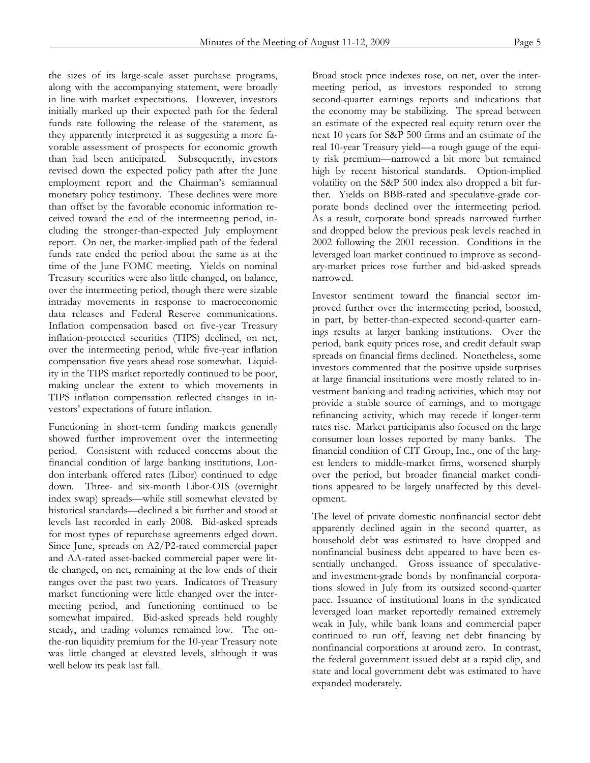the sizes of its large-scale asset purchase programs, along with the accompanying statement, were broadly in line with market expectations. However, investors initially marked up their expected path for the federal funds rate following the release of the statement, as they apparently interpreted it as suggesting a more favorable assessment of prospects for economic growth than had been anticipated. Subsequently, investors revised down the expected policy path after the June employment report and the Chairman's semiannual monetary policy testimony. These declines were more than offset by the favorable economic information received toward the end of the intermeeting period, including the stronger-than-expected July employment report. On net, the market-implied path of the federal funds rate ended the period about the same as at the time of the June FOMC meeting. Yields on nominal Treasury securities were also little changed, on balance, over the intermeeting period, though there were sizable intraday movements in response to macroeconomic data releases and Federal Reserve communications. Inflation compensation based on five-year Treasury inflation-protected securities (TIPS) declined, on net, over the intermeeting period, while five-year inflation compensation five years ahead rose somewhat. Liquidity in the TIPS market reportedly continued to be poor, making unclear the extent to which movements in TIPS inflation compensation reflected changes in investors' expectations of future inflation.

Functioning in short-term funding markets generally showed further improvement over the intermeeting period. Consistent with reduced concerns about the financial condition of large banking institutions, London interbank offered rates (Libor) continued to edge down. Three- and six-month Libor-OIS (overnight index swap) spreads—while still somewhat elevated by historical standards—declined a bit further and stood at levels last recorded in early 2008. Bid-asked spreads for most types of repurchase agreements edged down. Since June, spreads on A2/P2-rated commercial paper and AA-rated asset-backed commercial paper were little changed, on net, remaining at the low ends of their ranges over the past two years. Indicators of Treasury market functioning were little changed over the intermeeting period, and functioning continued to be somewhat impaired. Bid-asked spreads held roughly steady, and trading volumes remained low. The onthe-run liquidity premium for the 10-year Treasury note was little changed at elevated levels, although it was well below its peak last fall.

Broad stock price indexes rose, on net, over the intermeeting period, as investors responded to strong second-quarter earnings reports and indications that the economy may be stabilizing. The spread between an estimate of the expected real equity return over the next 10 years for S&P 500 firms and an estimate of the real 10-year Treasury yield—a rough gauge of the equity risk premium—narrowed a bit more but remained high by recent historical standards. Option-implied volatility on the S&P 500 index also dropped a bit further. Yields on BBB-rated and speculative-grade corporate bonds declined over the intermeeting period. As a result, corporate bond spreads narrowed further and dropped below the previous peak levels reached in 2002 following the 2001 recession. Conditions in the leveraged loan market continued to improve as secondary-market prices rose further and bid-asked spreads narrowed.

Investor sentiment toward the financial sector improved further over the intermeeting period, boosted, in part, by better-than-expected second-quarter earnings results at larger banking institutions. Over the period, bank equity prices rose, and credit default swap spreads on financial firms declined. Nonetheless, some investors commented that the positive upside surprises at large financial institutions were mostly related to investment banking and trading activities, which may not provide a stable source of earnings, and to mortgage refinancing activity, which may recede if longer-term rates rise. Market participants also focused on the large consumer loan losses reported by many banks. The financial condition of CIT Group, Inc., one of the largest lenders to middle-market firms, worsened sharply over the period, but broader financial market conditions appeared to be largely unaffected by this development.

The level of private domestic nonfinancial sector debt apparently declined again in the second quarter, as household debt was estimated to have dropped and nonfinancial business debt appeared to have been essentially unchanged. Gross issuance of speculativeand investment-grade bonds by nonfinancial corporations slowed in July from its outsized second-quarter pace. Issuance of institutional loans in the syndicated leveraged loan market reportedly remained extremely weak in July, while bank loans and commercial paper continued to run off, leaving net debt financing by nonfinancial corporations at around zero. In contrast, the federal government issued debt at a rapid clip, and state and local government debt was estimated to have expanded moderately.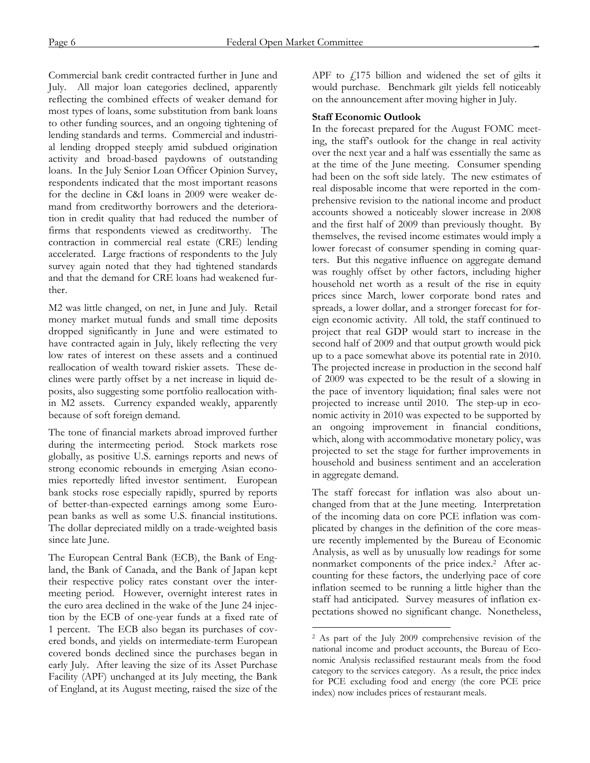Commercial bank credit contracted further in June and July. All major loan categories declined, apparently reflecting the combined effects of weaker demand for most types of loans, some substitution from bank loans to other funding sources, and an ongoing tightening of lending standards and terms. Commercial and industrial lending dropped steeply amid subdued origination activity and broad-based paydowns of outstanding loans. In the July Senior Loan Officer Opinion Survey, respondents indicated that the most important reasons for the decline in C&I loans in 2009 were weaker demand from creditworthy borrowers and the deterioration in credit quality that had reduced the number of firms that respondents viewed as creditworthy. The contraction in commercial real estate (CRE) lending accelerated. Large fractions of respondents to the July survey again noted that they had tightened standards and that the demand for CRE loans had weakened further.

M2 was little changed, on net, in June and July. Retail money market mutual funds and small time deposits dropped significantly in June and were estimated to have contracted again in July, likely reflecting the very low rates of interest on these assets and a continued reallocation of wealth toward riskier assets. These declines were partly offset by a net increase in liquid deposits, also suggesting some portfolio reallocation within M2 assets. Currency expanded weakly, apparently because of soft foreign demand.

The tone of financial markets abroad improved further during the intermeeting period. Stock markets rose globally, as positive U.S. earnings reports and news of strong economic rebounds in emerging Asian economies reportedly lifted investor sentiment. European bank stocks rose especially rapidly, spurred by reports of better-than-expected earnings among some European banks as well as some U.S. financial institutions. The dollar depreciated mildly on a trade-weighted basis since late June.

The European Central Bank (ECB), the Bank of England, the Bank of Canada, and the Bank of Japan kept their respective policy rates constant over the intermeeting period. However, overnight interest rates in the euro area declined in the wake of the June 24 injection by the ECB of one-year funds at a fixed rate of 1 percent. The ECB also began its purchases of covered bonds, and yields on intermediate-term European covered bonds declined since the purchases began in early July. After leaving the size of its Asset Purchase Facility (APF) unchanged at its July meeting, the Bank of England, at its August meeting, raised the size of the APF to  $f175$  billion and widened the set of gilts it would purchase. Benchmark gilt yields fell noticeably on the announcement after moving higher in July.

# **Staff Economic Outlook**

In the forecast prepared for the August FOMC meeting, the staff's outlook for the change in real activity over the next year and a half was essentially the same as at the time of the June meeting. Consumer spending had been on the soft side lately. The new estimates of real disposable income that were reported in the comprehensive revision to the national income and product accounts showed a noticeably slower increase in 2008 and the first half of 2009 than previously thought. By themselves, the revised income estimates would imply a lower forecast of consumer spending in coming quarters. But this negative influence on aggregate demand was roughly offset by other factors, including higher household net worth as a result of the rise in equity prices since March, lower corporate bond rates and spreads, a lower dollar, and a stronger forecast for foreign economic activity. All told, the staff continued to project that real GDP would start to increase in the second half of 2009 and that output growth would pick up to a pace somewhat above its potential rate in 2010. The projected increase in production in the second half of 2009 was expected to be the result of a slowing in the pace of inventory liquidation; final sales were not projected to increase until 2010. The step-up in economic activity in 2010 was expected to be supported by an ongoing improvement in financial conditions, which, along with accommodative monetary policy, was projected to set the stage for further improvements in household and business sentiment and an acceleration in aggregate demand.

The staff forecast for inflation was also about unchanged from that at the June meeting. Interpretation of the incoming data on core PCE inflation was complicated by changes in the definition of the core measure recently implemented by the Bureau of Economic Analysis, as well as by unusually low readings for some nonmarket components of the price index.2 After accounting for these factors, the underlying pace of core inflation seemed to be running a little higher than the staff had anticipated. Survey measures of inflation expectations showed no significant change. Nonetheless,

 $\overline{a}$ 

<sup>2</sup> As part of the July 2009 comprehensive revision of the national income and product accounts, the Bureau of Economic Analysis reclassified restaurant meals from the food category to the services category. As a result, the price index for PCE excluding food and energy (the core PCE price index) now includes prices of restaurant meals.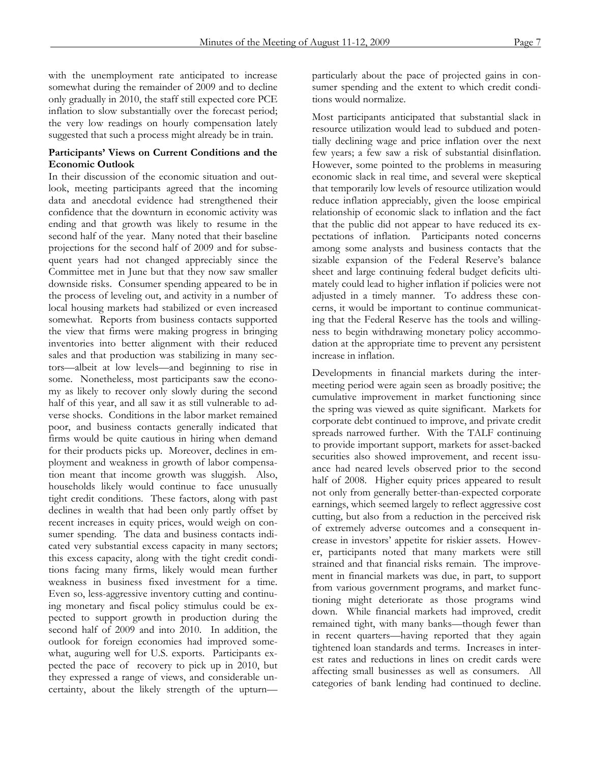with the unemployment rate anticipated to increase somewhat during the remainder of 2009 and to decline only gradually in 2010, the staff still expected core PCE inflation to slow substantially over the forecast period; the very low readings on hourly compensation lately suggested that such a process might already be in train.

# **Participants' Views on Current Conditions and the Economic Outlook**

In their discussion of the economic situation and outlook, meeting participants agreed that the incoming data and anecdotal evidence had strengthened their confidence that the downturn in economic activity was ending and that growth was likely to resume in the second half of the year. Many noted that their baseline projections for the second half of 2009 and for subsequent years had not changed appreciably since the Committee met in June but that they now saw smaller downside risks. Consumer spending appeared to be in the process of leveling out, and activity in a number of local housing markets had stabilized or even increased somewhat. Reports from business contacts supported the view that firms were making progress in bringing inventories into better alignment with their reduced sales and that production was stabilizing in many sectors—albeit at low levels—and beginning to rise in some. Nonetheless, most participants saw the economy as likely to recover only slowly during the second half of this year, and all saw it as still vulnerable to adverse shocks. Conditions in the labor market remained poor, and business contacts generally indicated that firms would be quite cautious in hiring when demand for their products picks up. Moreover, declines in employment and weakness in growth of labor compensation meant that income growth was sluggish. Also, households likely would continue to face unusually tight credit conditions. These factors, along with past declines in wealth that had been only partly offset by recent increases in equity prices, would weigh on consumer spending. The data and business contacts indicated very substantial excess capacity in many sectors; this excess capacity, along with the tight credit conditions facing many firms, likely would mean further weakness in business fixed investment for a time. Even so, less-aggressive inventory cutting and continuing monetary and fiscal policy stimulus could be expected to support growth in production during the second half of 2009 and into 2010. In addition, the outlook for foreign economies had improved somewhat, auguring well for U.S. exports. Participants expected the pace of recovery to pick up in 2010, but they expressed a range of views, and considerable uncertainty, about the likely strength of the upturnparticularly about the pace of projected gains in consumer spending and the extent to which credit conditions would normalize.

Most participants anticipated that substantial slack in resource utilization would lead to subdued and potentially declining wage and price inflation over the next few years; a few saw a risk of substantial disinflation. However, some pointed to the problems in measuring economic slack in real time, and several were skeptical that temporarily low levels of resource utilization would reduce inflation appreciably, given the loose empirical relationship of economic slack to inflation and the fact that the public did not appear to have reduced its expectations of inflation. Participants noted concerns among some analysts and business contacts that the sizable expansion of the Federal Reserve's balance sheet and large continuing federal budget deficits ultimately could lead to higher inflation if policies were not adjusted in a timely manner. To address these concerns, it would be important to continue communicating that the Federal Reserve has the tools and willingness to begin withdrawing monetary policy accommodation at the appropriate time to prevent any persistent increase in inflation.

Developments in financial markets during the intermeeting period were again seen as broadly positive; the cumulative improvement in market functioning since the spring was viewed as quite significant. Markets for corporate debt continued to improve, and private credit spreads narrowed further. With the TALF continuing to provide important support, markets for asset-backed securities also showed improvement, and recent issuance had neared levels observed prior to the second half of 2008. Higher equity prices appeared to result not only from generally better-than-expected corporate earnings, which seemed largely to reflect aggressive cost cutting, but also from a reduction in the perceived risk of extremely adverse outcomes and a consequent increase in investors' appetite for riskier assets. However, participants noted that many markets were still strained and that financial risks remain. The improvement in financial markets was due, in part, to support from various government programs, and market functioning might deteriorate as those programs wind down. While financial markets had improved, credit remained tight, with many banks—though fewer than in recent quarters—having reported that they again tightened loan standards and terms. Increases in interest rates and reductions in lines on credit cards were affecting small businesses as well as consumers. All categories of bank lending had continued to decline.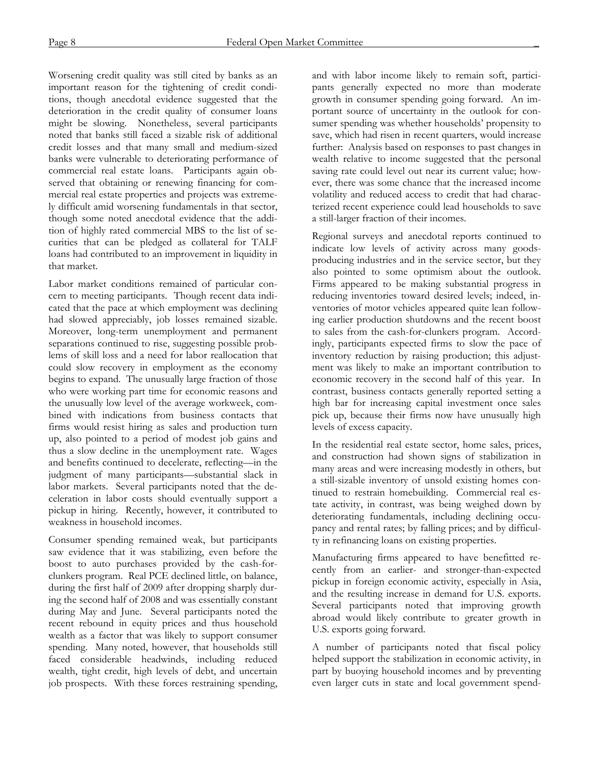Worsening credit quality was still cited by banks as an important reason for the tightening of credit conditions, though anecdotal evidence suggested that the deterioration in the credit quality of consumer loans might be slowing. Nonetheless, several participants noted that banks still faced a sizable risk of additional credit losses and that many small and medium-sized banks were vulnerable to deteriorating performance of commercial real estate loans. Participants again observed that obtaining or renewing financing for commercial real estate properties and projects was extremely difficult amid worsening fundamentals in that sector, though some noted anecdotal evidence that the addition of highly rated commercial MBS to the list of securities that can be pledged as collateral for TALF loans had contributed to an improvement in liquidity in that market.

Labor market conditions remained of particular concern to meeting participants. Though recent data indicated that the pace at which employment was declining had slowed appreciably, job losses remained sizable. Moreover, long-term unemployment and permanent separations continued to rise, suggesting possible problems of skill loss and a need for labor reallocation that could slow recovery in employment as the economy begins to expand. The unusually large fraction of those who were working part time for economic reasons and the unusually low level of the average workweek, combined with indications from business contacts that firms would resist hiring as sales and production turn up, also pointed to a period of modest job gains and thus a slow decline in the unemployment rate. Wages and benefits continued to decelerate, reflecting—in the judgment of many participants—substantial slack in labor markets. Several participants noted that the deceleration in labor costs should eventually support a pickup in hiring. Recently, however, it contributed to weakness in household incomes.

Consumer spending remained weak, but participants saw evidence that it was stabilizing, even before the boost to auto purchases provided by the cash-forclunkers program. Real PCE declined little, on balance, during the first half of 2009 after dropping sharply during the second half of 2008 and was essentially constant during May and June. Several participants noted the recent rebound in equity prices and thus household wealth as a factor that was likely to support consumer spending. Many noted, however, that households still faced considerable headwinds, including reduced wealth, tight credit, high levels of debt, and uncertain job prospects. With these forces restraining spending,

and with labor income likely to remain soft, participants generally expected no more than moderate growth in consumer spending going forward. An important source of uncertainty in the outlook for consumer spending was whether households' propensity to save, which had risen in recent quarters, would increase further: Analysis based on responses to past changes in wealth relative to income suggested that the personal saving rate could level out near its current value; however, there was some chance that the increased income volatility and reduced access to credit that had characterized recent experience could lead households to save a still-larger fraction of their incomes.

Regional surveys and anecdotal reports continued to indicate low levels of activity across many goodsproducing industries and in the service sector, but they also pointed to some optimism about the outlook. Firms appeared to be making substantial progress in reducing inventories toward desired levels; indeed, inventories of motor vehicles appeared quite lean following earlier production shutdowns and the recent boost to sales from the cash-for-clunkers program. Accordingly, participants expected firms to slow the pace of inventory reduction by raising production; this adjustment was likely to make an important contribution to economic recovery in the second half of this year. In contrast, business contacts generally reported setting a high bar for increasing capital investment once sales pick up, because their firms now have unusually high levels of excess capacity.

In the residential real estate sector, home sales, prices, and construction had shown signs of stabilization in many areas and were increasing modestly in others, but a still-sizable inventory of unsold existing homes continued to restrain homebuilding. Commercial real estate activity, in contrast, was being weighed down by deteriorating fundamentals, including declining occupancy and rental rates; by falling prices; and by difficulty in refinancing loans on existing properties.

Manufacturing firms appeared to have benefitted recently from an earlier- and stronger-than-expected pickup in foreign economic activity, especially in Asia, and the resulting increase in demand for U.S. exports. Several participants noted that improving growth abroad would likely contribute to greater growth in U.S. exports going forward.

A number of participants noted that fiscal policy helped support the stabilization in economic activity, in part by buoying household incomes and by preventing even larger cuts in state and local government spend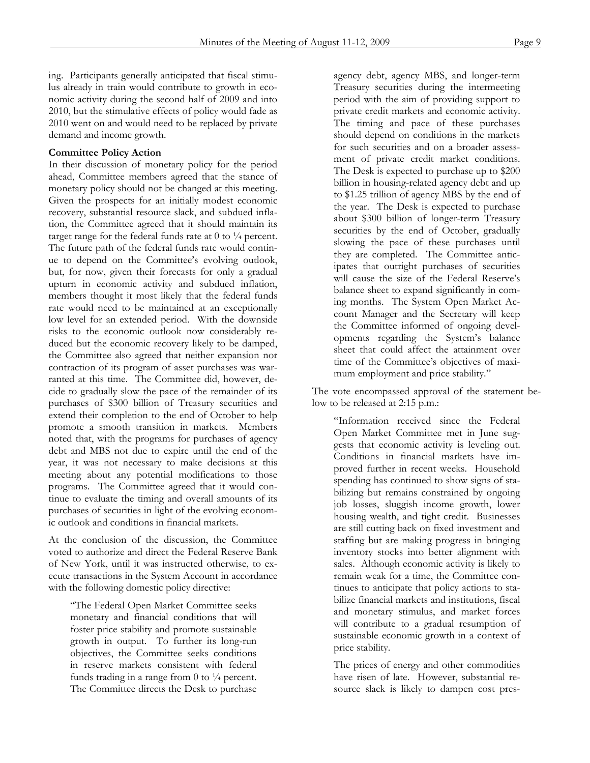ing. Participants generally anticipated that fiscal stimulus already in train would contribute to growth in economic activity during the second half of 2009 and into 2010, but the stimulative effects of policy would fade as 2010 went on and would need to be replaced by private demand and income growth.

#### **Committee Policy Action**

In their discussion of monetary policy for the period ahead, Committee members agreed that the stance of monetary policy should not be changed at this meeting. Given the prospects for an initially modest economic recovery, substantial resource slack, and subdued inflation, the Committee agreed that it should maintain its target range for the federal funds rate at  $0$  to  $\frac{1}{4}$  percent. The future path of the federal funds rate would continue to depend on the Committee's evolving outlook, but, for now, given their forecasts for only a gradual upturn in economic activity and subdued inflation, members thought it most likely that the federal funds rate would need to be maintained at an exceptionally low level for an extended period. With the downside risks to the economic outlook now considerably reduced but the economic recovery likely to be damped, the Committee also agreed that neither expansion nor contraction of its program of asset purchases was warranted at this time. The Committee did, however, decide to gradually slow the pace of the remainder of its purchases of \$300 billion of Treasury securities and extend their completion to the end of October to help promote a smooth transition in markets. Members noted that, with the programs for purchases of agency debt and MBS not due to expire until the end of the year, it was not necessary to make decisions at this meeting about any potential modifications to those programs. The Committee agreed that it would continue to evaluate the timing and overall amounts of its purchases of securities in light of the evolving economic outlook and conditions in financial markets.

At the conclusion of the discussion, the Committee voted to authorize and direct the Federal Reserve Bank of New York, until it was instructed otherwise, to execute transactions in the System Account in accordance with the following domestic policy directive:

"The Federal Open Market Committee seeks monetary and financial conditions that will foster price stability and promote sustainable growth in output. To further its long-run objectives, the Committee seeks conditions in reserve markets consistent with federal funds trading in a range from  $0$  to  $\frac{1}{4}$  percent. The Committee directs the Desk to purchase agency debt, agency MBS, and longer-term Treasury securities during the intermeeting period with the aim of providing support to private credit markets and economic activity. The timing and pace of these purchases should depend on conditions in the markets for such securities and on a broader assessment of private credit market conditions. The Desk is expected to purchase up to \$200 billion in housing-related agency debt and up to \$1.25 trillion of agency MBS by the end of the year. The Desk is expected to purchase about \$300 billion of longer-term Treasury securities by the end of October, gradually slowing the pace of these purchases until they are completed. The Committee anticipates that outright purchases of securities will cause the size of the Federal Reserve's balance sheet to expand significantly in coming months. The System Open Market Account Manager and the Secretary will keep the Committee informed of ongoing developments regarding the System's balance sheet that could affect the attainment over time of the Committee's objectives of maximum employment and price stability."

The vote encompassed approval of the statement below to be released at 2:15 p.m.:

"Information received since the Federal Open Market Committee met in June suggests that economic activity is leveling out. Conditions in financial markets have improved further in recent weeks. Household spending has continued to show signs of stabilizing but remains constrained by ongoing job losses, sluggish income growth, lower housing wealth, and tight credit. Businesses are still cutting back on fixed investment and staffing but are making progress in bringing inventory stocks into better alignment with sales. Although economic activity is likely to remain weak for a time, the Committee continues to anticipate that policy actions to stabilize financial markets and institutions, fiscal and monetary stimulus, and market forces will contribute to a gradual resumption of sustainable economic growth in a context of price stability.

The prices of energy and other commodities have risen of late. However, substantial resource slack is likely to dampen cost pres